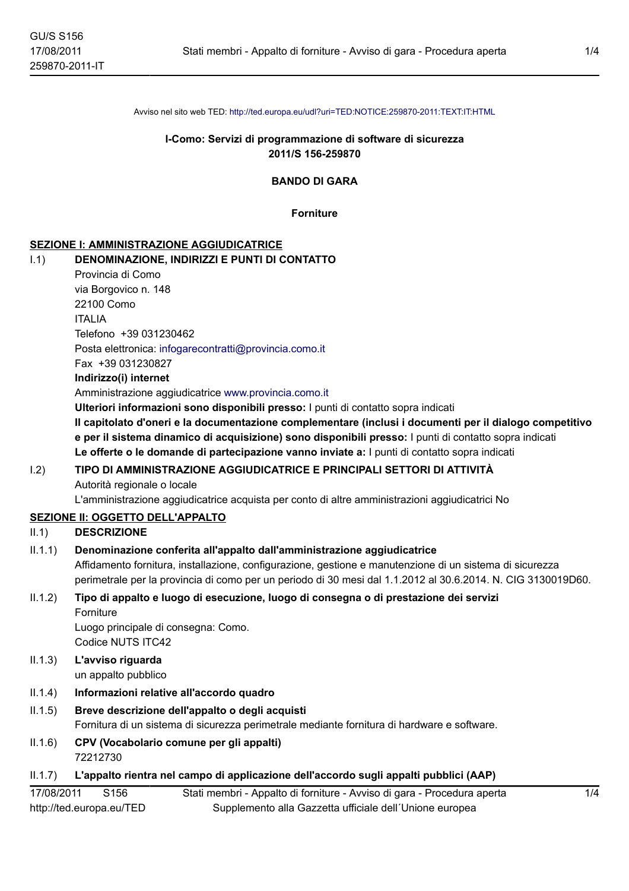Avviso nel sito web TED: http://ted.europa.eu/udl?uri=TED:NOTICE:259870-2011:TEXT:IT:HTML

# I-Como: Servizi di programmazione di software di sicurezza 2011/S 156-259870

**BANDO DI GARA** 

**Forniture** 

# **SEZIONE I: AMMINISTRAZIONE AGGIUDICATRICE**

#### $1.1)$ DENOMINAZIONE, INDIRIZZI E PUNTI DI CONTATTO

|            | Provincia di Como                                                                                                                                                                                                                                                                                                  |
|------------|--------------------------------------------------------------------------------------------------------------------------------------------------------------------------------------------------------------------------------------------------------------------------------------------------------------------|
|            | via Borgovico n. 148                                                                                                                                                                                                                                                                                               |
|            | 22100 Como                                                                                                                                                                                                                                                                                                         |
|            | <b>ITALIA</b>                                                                                                                                                                                                                                                                                                      |
|            | Telefono +39 031230462                                                                                                                                                                                                                                                                                             |
|            | Posta elettronica: infogarecontratti@provincia.como.it                                                                                                                                                                                                                                                             |
|            | Fax +39 031230827                                                                                                                                                                                                                                                                                                  |
|            | Indirizzo(i) internet                                                                                                                                                                                                                                                                                              |
|            | Amministrazione aggiudicatrice www.provincia.como.it                                                                                                                                                                                                                                                               |
|            | Ulteriori informazioni sono disponibili presso: I punti di contatto sopra indicati                                                                                                                                                                                                                                 |
|            | Il capitolato d'oneri e la documentazione complementare (inclusi i documenti per il dialogo competitivo<br>e per il sistema dinamico di acquisizione) sono disponibili presso: I punti di contatto sopra indicati<br>Le offerte o le domande di partecipazione vanno inviate a: I punti di contatto sopra indicati |
| 1.2)       | TIPO DI AMMINISTRAZIONE AGGIUDICATRICE E PRINCIPALI SETTORI DI ATTIVITÀ<br>Autorità regionale o locale                                                                                                                                                                                                             |
|            | L'amministrazione aggiudicatrice acquista per conto di altre amministrazioni aggiudicatrici No                                                                                                                                                                                                                     |
|            | <b>SEZIONE II: OGGETTO DELL'APPALTO</b>                                                                                                                                                                                                                                                                            |
| II.1)      | <b>DESCRIZIONE</b>                                                                                                                                                                                                                                                                                                 |
| II.1.1)    | Denominazione conferita all'appalto dall'amministrazione aggiudicatrice                                                                                                                                                                                                                                            |
|            | Affidamento fornitura, installazione, configurazione, gestione e manutenzione di un sistema di sicurezza<br>perimetrale per la provincia di como per un periodo di 30 mesi dal 1.1.2012 al 30.6.2014. N. CIG 3130019D60.                                                                                           |
| II.1.2)    | Tipo di appalto e luogo di esecuzione, luogo di consegna o di prestazione dei servizi<br>Forniture                                                                                                                                                                                                                 |
|            | Luogo principale di consegna: Como.<br>Codice NUTS ITC42                                                                                                                                                                                                                                                           |
|            |                                                                                                                                                                                                                                                                                                                    |
| II.1.3)    | L'avviso riguarda<br>un appalto pubblico                                                                                                                                                                                                                                                                           |
| II.1.4)    | Informazioni relative all'accordo quadro                                                                                                                                                                                                                                                                           |
| II.1.5)    | Breve descrizione dell'appalto o degli acquisti<br>Fornitura di un sistema di sicurezza perimetrale mediante fornitura di hardware e software.                                                                                                                                                                     |
| II.1.6)    | CPV (Vocabolario comune per gli appalti)<br>72212730                                                                                                                                                                                                                                                               |
| II.1.7)    | L'appalto rientra nel campo di applicazione dell'accordo sugli appalti pubblici (AAP)                                                                                                                                                                                                                              |
| 17/08/2011 | Stati membri - Appalto di forniture - Avviso di gara - Procedura aperta<br>S156<br>1/4                                                                                                                                                                                                                             |
|            | http://ted.europa.eu/TED<br>Supplemento alla Gazzetta ufficiale dell'Unione europea                                                                                                                                                                                                                                |
|            |                                                                                                                                                                                                                                                                                                                    |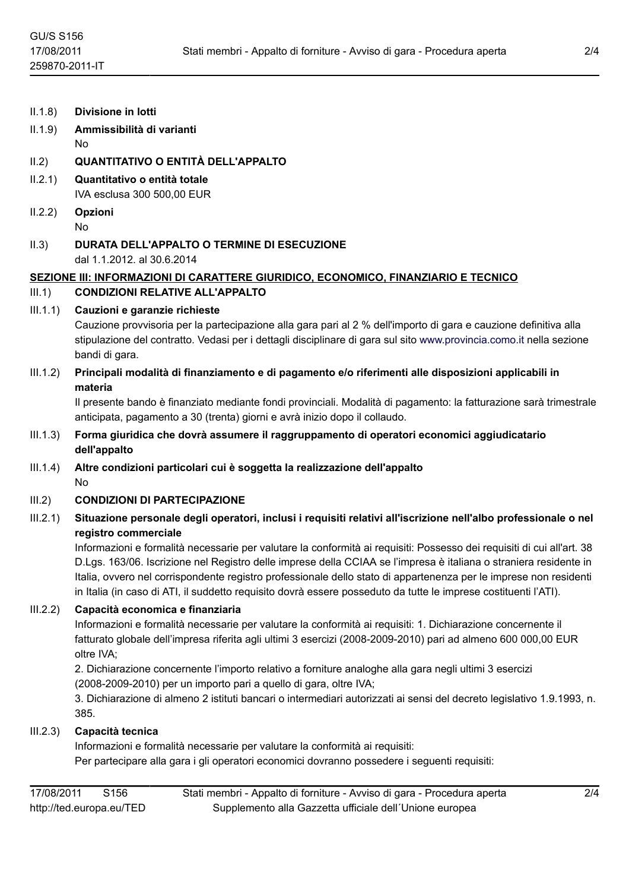$II.1.8$ Divisione in lotti

# Ammissibilità di varianti  $II.1.9)$  $No$

# QUANTITATIVO O ENTITÀ DELL'APPALTO  $II.2)$

- $II.2.1)$ Quantitativo o entità totale IVA esclusa 300 500,00 EUR
- $II.2.2)$ Opzioni **No**
- $II.3)$ DURATA DELL'APPALTO O TERMINE DI ESECUZIONE dal 1.1.2012, al 30.6.2014

# SEZIONE III: INFORMAZIONI DI CARATTERE GIURIDICO, ECONOMICO, FINANZIARIO E TECNICO **CONDIZIONI RELATIVE ALL'APPALTO**  $III.1)$

# $III.1.1)$ Cauzioni e garanzie richieste

Cauzione provvisoria per la partecipazione alla gara pari al 2 % dell'importo di gara e cauzione definitiva alla stipulazione del contratto. Vedasi per i dettagli disciplinare di gara sul sito www.provincia.como.it nella sezione bandi di gara.

 $III.1.2)$ Principali modalità di finanziamento e di pagamento e/o riferimenti alle disposizioni applicabili in materia

Il presente bando è finanziato mediante fondi provinciali. Modalità di pagamento: la fatturazione sarà trimestrale anticipata, pagamento a 30 (trenta) giorni e avrà inizio dopo il collaudo.

- $III.1.3)$ Forma giuridica che dovrà assumere il raggruppamento di operatori economici aggiudicatario dell'appalto
- $III.1.4)$ Altre condizioni particolari cui è soggetta la realizzazione dell'appalto **No**

# $III.2)$ **CONDIZIONI DI PARTECIPAZIONE**

# $III.2.1$ Situazione personale degli operatori, inclusi i reguisiti relativi all'iscrizione nell'albo professionale o nel registro commerciale

Informazioni e formalità necessarie per valutare la conformità ai requisiti: Possesso dei requisiti di cui all'art. 38 D.Lgs. 163/06. Iscrizione nel Registro delle imprese della CCIAA se l'impresa è italiana o straniera residente in Italia, ovvero nel corrispondente registro professionale dello stato di appartenenza per le imprese non residenti in Italia (in caso di ATI, il suddetto requisito dovrà essere posseduto da tutte le imprese costituenti l'ATI).

# $III.2.2)$ Capacità economica e finanziaria

Informazioni e formalità necessarie per valutare la conformità ai requisiti: 1. Dichiarazione concernente il fatturato globale dell'impresa riferita agli ultimi 3 esercizi (2008-2009-2010) pari ad almeno 600 000,00 EUR oltre IVA:

2. Dichiarazione concernente l'importo relativo a forniture analoghe alla gara negli ultimi 3 esercizi

(2008-2009-2010) per un importo pari a quello di gara, oltre IVA;

3. Dichiarazione di almeno 2 istituti bancari o intermediari autorizzati ai sensi del decreto legislativo 1.9.1993, n. 385.

# Capacità tecnica  $III.2.3)$

Informazioni e formalità necessarie per valutare la conformità ai requisiti: Per partecipare alla gara i gli operatori economici dovranno possedere i seguenti requisiti: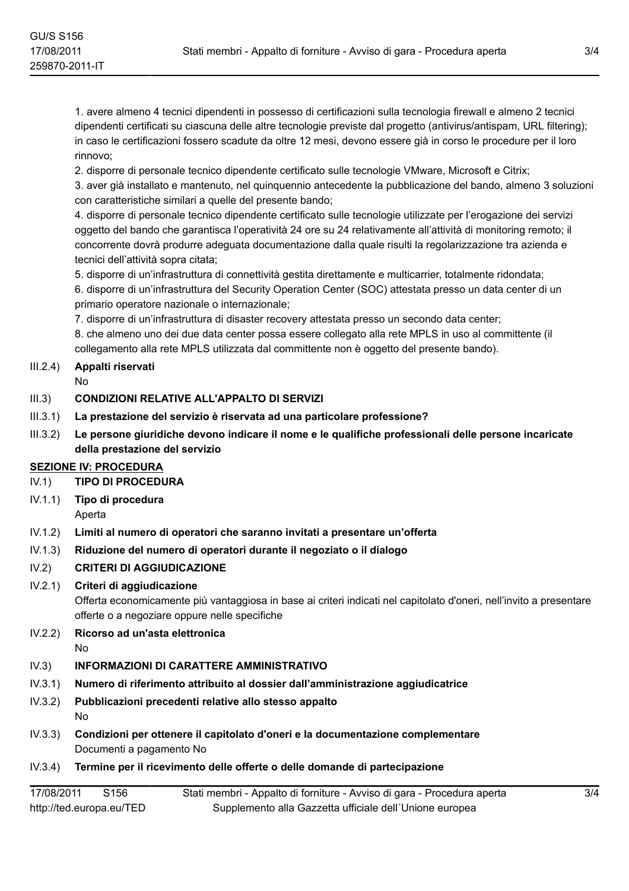1. avere almeno 4 tecnici dipendenti in possesso di certificazioni sulla tecnologia firewall e almeno 2 tecnici dipendenti certificati su ciascuna delle altre tecnologie previste dal progetto (antivirus/antispam, URL filtering); in caso le certificazioni fossero scadute da oltre 12 mesi, devono essere già in corso le procedure per il loro rinnovo:

2. disporre di personale tecnico dipendente certificato sulle tecnologie VMware, Microsoft e Citrix; 3. aver già installato e mantenuto, nel quinquennio antecedente la pubblicazione del bando, almeno 3 soluzioni

con caratteristiche similari a quelle del presente bando;

4. disporre di personale tecnico dipendente certificato sulle tecnologie utilizzate per l'erogazione dei servizi oggetto del bando che garantisca l'operatività 24 ore su 24 relativamente all'attività di monitoring remoto; il concorrente dovrà produrre adequata documentazione dalla quale risulti la regolarizzazione tra azienda e tecnici dell'attività sopra citata;

5. disporre di un'infrastruttura di connettività gestita direttamente e multicarrier, totalmente ridondata;

6. disporre di un'infrastruttura del Security Operation Center (SOC) attestata presso un data center di un primario operatore nazionale o internazionale;

7. disporre di un'infrastruttura di disaster recovery attestata presso un secondo data center;

8. che almeno uno dei due data center possa essere collegato alla rete MPLS in uso al committente (il collegamento alla rete MPLS utilizzata dal committente non è oggetto del presente bando).

# $III.2.4$ Appalti riservati

 $N<sub>0</sub>$ 

# $III.3)$ **CONDIZIONI RELATIVE ALL'APPALTO DI SERVIZI**

- $III.3.1)$ La prestazione del servizio è riservata ad una particolare professione?
- $III.3.2)$ Le persone giuridiche devono indicare il nome e le qualifiche professionali delle persone incaricate della prestazione del servizio

# **SEZIONE IV: PROCEDURA**

- $IV.1)$ **TIPO DI PROCEDURA**
- $IV.1.1)$ Tipo di procedura
	- Aperta
- $IV.1.2)$ Limiti al numero di operatori che saranno invitati a presentare un'offerta
- $IV.1.3)$ Riduzione del numero di operatori durante il negoziato o il dialogo

# $IV.2)$ **CRITERI DI AGGIUDICAZIONE**

# $IV.2.1)$ Criteri di aggiudicazione

Offerta economicamente più vantaggiosa in base ai criteri indicati nel capitolato d'oneri, nell'invito a presentare offerte o a negoziare oppure nelle specifiche

# Ricorso ad un'asta elettronica  $IV.2.2)$

 $No$ 

# **INFORMAZIONI DI CARATTERE AMMINISTRATIVO**  $IV.3)$

- Numero di riferimento attribuito al dossier dall'amministrazione aggiudicatrice  $IV.3.1)$
- $IV.3.2)$ Pubblicazioni precedenti relative allo stesso appalto **No**
- $IV.3.3)$ Condizioni per ottenere il capitolato d'oneri e la documentazione complementare Documenti a pagamento No
- $IV.3.4)$ Termine per il ricevimento delle offerte o delle domande di partecipazione